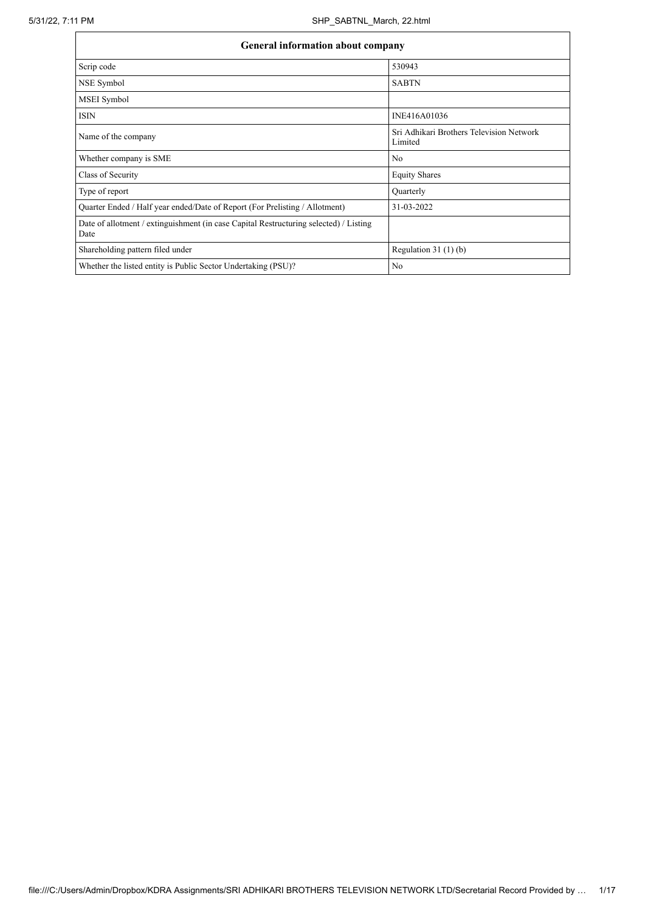| General information about company                                                             |                                                     |  |  |  |  |  |  |
|-----------------------------------------------------------------------------------------------|-----------------------------------------------------|--|--|--|--|--|--|
| Scrip code                                                                                    | 530943                                              |  |  |  |  |  |  |
| NSE Symbol                                                                                    | <b>SABTN</b>                                        |  |  |  |  |  |  |
| MSEI Symbol                                                                                   |                                                     |  |  |  |  |  |  |
| <b>ISIN</b>                                                                                   | INE416A01036                                        |  |  |  |  |  |  |
| Name of the company                                                                           | Sri Adhikari Brothers Television Network<br>Limited |  |  |  |  |  |  |
| Whether company is SME                                                                        | No                                                  |  |  |  |  |  |  |
| Class of Security                                                                             | <b>Equity Shares</b>                                |  |  |  |  |  |  |
| Type of report                                                                                | Quarterly                                           |  |  |  |  |  |  |
| Quarter Ended / Half year ended/Date of Report (For Prelisting / Allotment)                   | 31-03-2022                                          |  |  |  |  |  |  |
| Date of allotment / extinguishment (in case Capital Restructuring selected) / Listing<br>Date |                                                     |  |  |  |  |  |  |
| Shareholding pattern filed under                                                              | Regulation $31(1)(b)$                               |  |  |  |  |  |  |
| Whether the listed entity is Public Sector Undertaking (PSU)?                                 | N <sub>o</sub>                                      |  |  |  |  |  |  |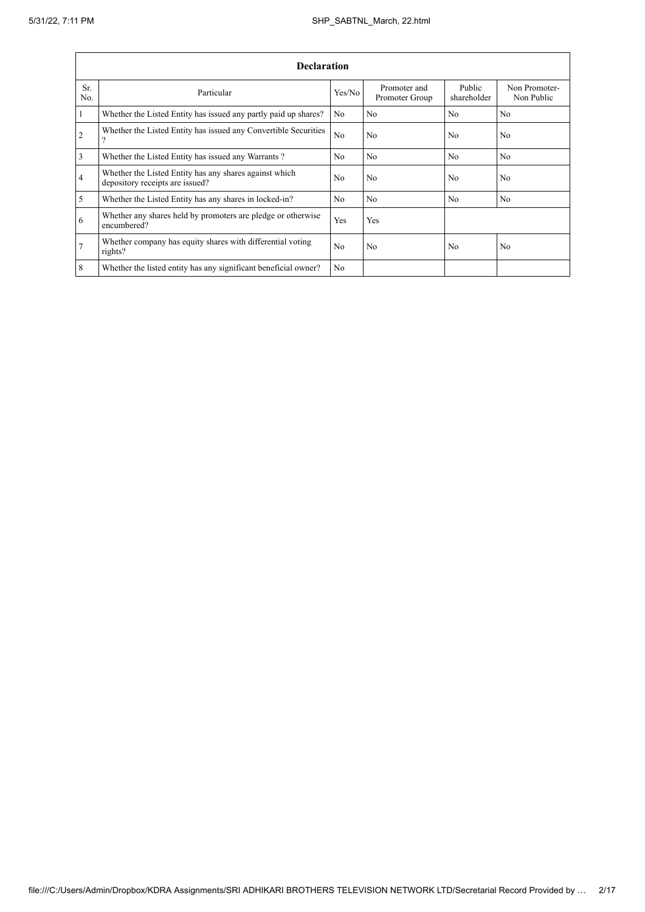|                 | <b>Declaration</b>                                                                        |                |                                |                       |                             |  |  |  |  |
|-----------------|-------------------------------------------------------------------------------------------|----------------|--------------------------------|-----------------------|-----------------------------|--|--|--|--|
| Sr.<br>No.      | Particular                                                                                | Yes/No         | Promoter and<br>Promoter Group | Public<br>shareholder | Non Promoter-<br>Non Public |  |  |  |  |
| $\mathbf{1}$    | Whether the Listed Entity has issued any partly paid up shares?                           | No.            | N <sub>o</sub>                 | No                    | N <sub>o</sub>              |  |  |  |  |
| $\overline{2}$  | Whether the Listed Entity has issued any Convertible Securities<br>9                      | N <sub>o</sub> | N <sub>o</sub>                 | N <sub>o</sub>        | N <sub>o</sub>              |  |  |  |  |
| $\overline{3}$  | Whether the Listed Entity has issued any Warrants?                                        | N <sub>0</sub> | N <sub>0</sub>                 | No                    | N <sub>0</sub>              |  |  |  |  |
| $\overline{4}$  | Whether the Listed Entity has any shares against which<br>depository receipts are issued? | N <sub>0</sub> | No                             | N <sub>0</sub>        | No                          |  |  |  |  |
| 5               | Whether the Listed Entity has any shares in locked-in?                                    | N <sub>0</sub> | N <sub>0</sub>                 | No                    | N <sub>0</sub>              |  |  |  |  |
| 6               | Whether any shares held by promoters are pledge or otherwise<br>encumbered?               | Yes            | Yes                            |                       |                             |  |  |  |  |
| $7\overline{ }$ | Whether company has equity shares with differential voting<br>rights?                     | N <sub>0</sub> | N <sub>0</sub>                 | N <sub>0</sub>        | N <sub>o</sub>              |  |  |  |  |
| 8               | Whether the listed entity has any significant beneficial owner?                           | N <sub>o</sub> |                                |                       |                             |  |  |  |  |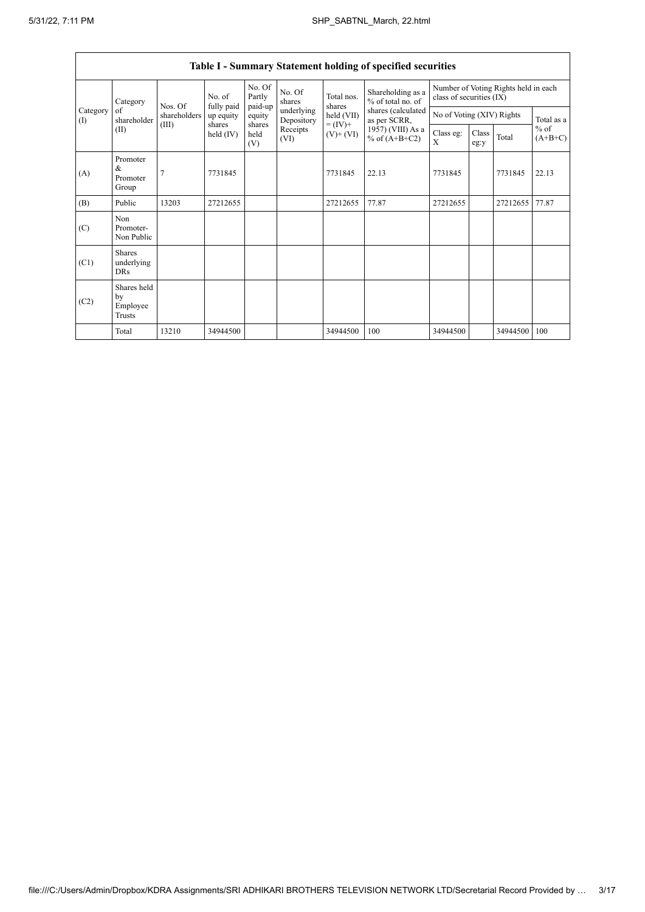$\overline{\phantom{a}}$ 

| Table I - Summary Statement holding of specified securities |                                         |                |                         |                       |                          |                                                                    |                                                                                                                        |                                                                  |               |          |                     |
|-------------------------------------------------------------|-----------------------------------------|----------------|-------------------------|-----------------------|--------------------------|--------------------------------------------------------------------|------------------------------------------------------------------------------------------------------------------------|------------------------------------------------------------------|---------------|----------|---------------------|
|                                                             | Category                                | Nos. Of        | No. of                  | No. Of<br>Partly      | No. Of<br>shares         | Total nos.<br>shares<br>held (VII)<br>$= (IV) +$<br>$(V)$ + $(VI)$ | Shareholding as a<br>$%$ of total no. of<br>shares (calculated<br>as per SCRR,<br>1957) (VIII) As a<br>% of $(A+B+C2)$ | Number of Voting Rights held in each<br>class of securities (IX) |               |          |                     |
| Category<br>of<br>$($ I)<br>(II)                            | shareholder                             | shareholders   | fully paid<br>up equity | paid-up<br>equity     | underlying<br>Depository |                                                                    |                                                                                                                        | No of Voting (XIV) Rights                                        |               |          | Total as a          |
|                                                             |                                         | (III)          | shares<br>held $(IV)$   | shares<br>held<br>(V) | Receipts<br>(VI)         |                                                                    |                                                                                                                        | Class eg:<br>X                                                   | Class<br>eg:y | Total    | $%$ of<br>$(A+B+C)$ |
| (A)                                                         | Promoter<br>&<br>Promoter<br>Group      | $\overline{7}$ | 7731845                 |                       |                          | 7731845                                                            | 22.13                                                                                                                  | 7731845                                                          |               | 7731845  | 22.13               |
| (B)                                                         | Public                                  | 13203          | 27212655                |                       |                          | 27212655                                                           | 77.87                                                                                                                  | 27212655                                                         |               | 27212655 | 77.87               |
| (C)                                                         | Non<br>Promoter-<br>Non Public          |                |                         |                       |                          |                                                                    |                                                                                                                        |                                                                  |               |          |                     |
| (C1)                                                        | Shares<br>underlying<br><b>DRs</b>      |                |                         |                       |                          |                                                                    |                                                                                                                        |                                                                  |               |          |                     |
| (C2)                                                        | Shares held<br>by<br>Employee<br>Trusts |                |                         |                       |                          |                                                                    |                                                                                                                        |                                                                  |               |          |                     |
|                                                             | Total                                   | 13210          | 34944500                |                       |                          | 34944500                                                           | 100                                                                                                                    | 34944500                                                         |               | 34944500 | 100                 |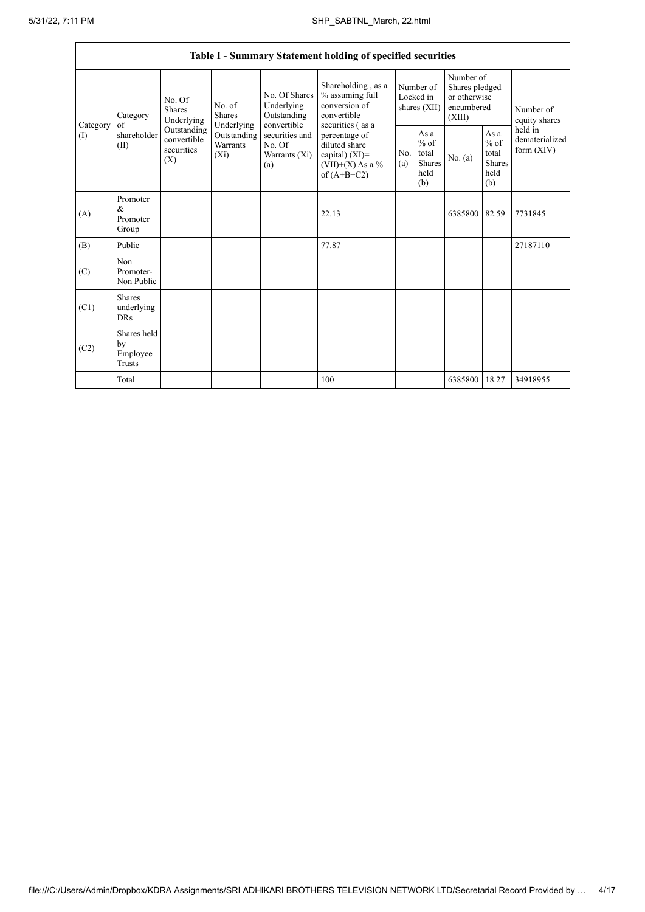|                 | Table I - Summary Statement holding of specified securities |                                                                                                     |                                       |                                                           |                                                                                                                                                                                         |                                        |                                                         |                                                                     |                                                         |                                           |  |
|-----------------|-------------------------------------------------------------|-----------------------------------------------------------------------------------------------------|---------------------------------------|-----------------------------------------------------------|-----------------------------------------------------------------------------------------------------------------------------------------------------------------------------------------|----------------------------------------|---------------------------------------------------------|---------------------------------------------------------------------|---------------------------------------------------------|-------------------------------------------|--|
| Category<br>(1) | Category<br>of<br>shareholder<br>(II)                       | No. Of<br><b>Shares</b><br>Underlying<br>Outstanding<br>convertible<br>securities<br>$(X_i)$<br>(X) | No. of<br><b>Shares</b><br>Underlying | No. Of Shares<br>Underlying<br>Outstanding<br>convertible | Shareholding, as a<br>% assuming full<br>conversion of<br>convertible<br>securities (as a<br>percentage of<br>diluted share<br>capital) $(XI)$ =<br>$(VII)+(X)$ As a %<br>of $(A+B+C2)$ | Number of<br>Locked in<br>shares (XII) |                                                         | Number of<br>Shares pledged<br>or otherwise<br>encumbered<br>(XIII) |                                                         | Number of<br>equity shares                |  |
|                 |                                                             |                                                                                                     | Outstanding<br>Warrants               | securities and<br>No. Of<br>Warrants $(X_i)$<br>(a)       |                                                                                                                                                                                         | No.<br>(a)                             | As a<br>$%$ of<br>total<br><b>Shares</b><br>held<br>(b) | No. (a)                                                             | As a<br>$%$ of<br>total<br><b>Shares</b><br>held<br>(b) | held in<br>dematerialized<br>form $(XIV)$ |  |
| (A)             | Promoter<br>$\&$<br>Promoter<br>Group                       |                                                                                                     |                                       |                                                           | 22.13                                                                                                                                                                                   |                                        |                                                         | 6385800                                                             | 82.59                                                   | 7731845                                   |  |
| (B)             | Public                                                      |                                                                                                     |                                       |                                                           | 77.87                                                                                                                                                                                   |                                        |                                                         |                                                                     |                                                         | 27187110                                  |  |
| (C)             | Non<br>Promoter-<br>Non Public                              |                                                                                                     |                                       |                                                           |                                                                                                                                                                                         |                                        |                                                         |                                                                     |                                                         |                                           |  |
| (C1)            | <b>Shares</b><br>underlying<br><b>DRs</b>                   |                                                                                                     |                                       |                                                           |                                                                                                                                                                                         |                                        |                                                         |                                                                     |                                                         |                                           |  |
| (C2)            | Shares held<br>by<br>Employee<br><b>Trusts</b>              |                                                                                                     |                                       |                                                           |                                                                                                                                                                                         |                                        |                                                         |                                                                     |                                                         |                                           |  |
|                 | Total                                                       |                                                                                                     |                                       |                                                           | 100                                                                                                                                                                                     |                                        |                                                         | 6385800                                                             | 18.27                                                   | 34918955                                  |  |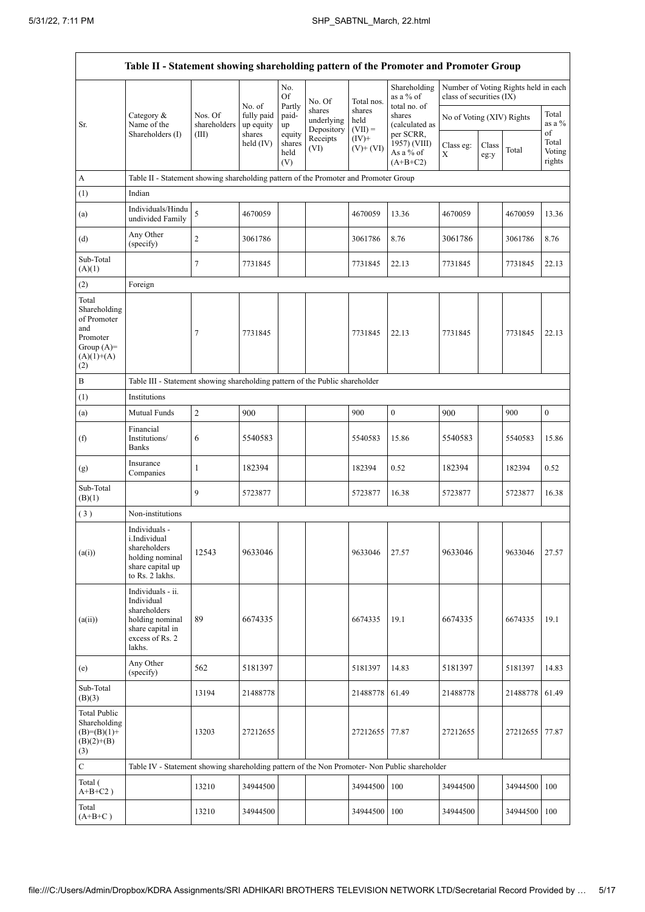$\mathsf{r}$ 

 $\overline{\phantom{a}}$ 

| Table II - Statement showing shareholding pattern of the Promoter and Promoter Group           |                                                                                                                     |                         |                                   |                       |                                    |                             |                                                                                  |                           |               |                                      |                           |
|------------------------------------------------------------------------------------------------|---------------------------------------------------------------------------------------------------------------------|-------------------------|-----------------------------------|-----------------------|------------------------------------|-----------------------------|----------------------------------------------------------------------------------|---------------------------|---------------|--------------------------------------|---------------------------|
|                                                                                                |                                                                                                                     |                         | No. of                            | No.<br>Of<br>Partly   | No. Of                             | Total nos.                  | Shareholding<br>as a % of<br>total no. of                                        | class of securities (IX)  |               | Number of Voting Rights held in each |                           |
| Sr.                                                                                            | Category &<br>Name of the<br>Shareholders (I)                                                                       | Nos. Of<br>shareholders | fully paid<br>up equity<br>shares | paid-<br>up<br>equity | shares<br>underlying<br>Depository | shares<br>held<br>$(VII) =$ | shares<br>(calculated as<br>per SCRR,<br>1957) (VIII)<br>As a % of<br>$(A+B+C2)$ | No of Voting (XIV) Rights |               |                                      | Total<br>as a %<br>of     |
|                                                                                                |                                                                                                                     | (III)                   | held (IV)                         | shares<br>held<br>(V) | Receipts<br>(VI)                   | $(IV)^+$<br>$(V)$ + $(VI)$  |                                                                                  | Class eg:<br>X            | Class<br>eg:y | Total                                | Total<br>Voting<br>rights |
| A                                                                                              | Table II - Statement showing shareholding pattern of the Promoter and Promoter Group                                |                         |                                   |                       |                                    |                             |                                                                                  |                           |               |                                      |                           |
| (1)                                                                                            | Indian                                                                                                              |                         |                                   |                       |                                    |                             |                                                                                  |                           |               |                                      |                           |
| (a)                                                                                            | Individuals/Hindu<br>undivided Family                                                                               | 5                       | 4670059                           |                       |                                    | 4670059                     | 13.36                                                                            | 4670059                   |               | 4670059                              | 13.36                     |
| (d)                                                                                            | Any Other<br>(specify)                                                                                              | $\mathfrak{2}$          | 3061786                           |                       |                                    | 3061786                     | 8.76                                                                             | 3061786                   |               | 3061786                              | 8.76                      |
| Sub-Total<br>(A)(1)                                                                            |                                                                                                                     | $\tau$                  | 7731845                           |                       |                                    | 7731845                     | 22.13                                                                            | 7731845                   |               | 7731845                              | 22.13                     |
| (2)                                                                                            | Foreign                                                                                                             |                         |                                   |                       |                                    |                             |                                                                                  |                           |               |                                      |                           |
| Total<br>Shareholding<br>of Promoter<br>and<br>Promoter<br>Group $(A)=$<br>$(A)(1)+(A)$<br>(2) |                                                                                                                     | 7                       | 7731845                           |                       |                                    | 7731845                     | 22.13                                                                            | 7731845                   |               | 7731845                              | 22.13                     |
| $\, {\bf B}$                                                                                   | Table III - Statement showing shareholding pattern of the Public shareholder                                        |                         |                                   |                       |                                    |                             |                                                                                  |                           |               |                                      |                           |
| (1)                                                                                            | Institutions                                                                                                        |                         |                                   |                       |                                    |                             |                                                                                  |                           |               |                                      |                           |
| (a)                                                                                            | Mutual Funds                                                                                                        | $\boldsymbol{2}$        | 900                               |                       |                                    | 900                         | $\boldsymbol{0}$                                                                 | 900                       |               | 900                                  | $\boldsymbol{0}$          |
| (f)                                                                                            | Financial<br>Institutions/<br><b>Banks</b>                                                                          | 6                       | 5540583                           |                       |                                    | 5540583                     | 15.86                                                                            | 5540583                   |               | 5540583                              | 15.86                     |
| (g)                                                                                            | Insurance<br>Companies                                                                                              | $\mathbf{1}$            | 182394                            |                       |                                    | 182394                      | 0.52                                                                             | 182394                    |               | 182394                               | 0.52                      |
| Sub-Total<br>(B)(1)                                                                            |                                                                                                                     | 9                       | 5723877                           |                       |                                    | 5723877                     | 16.38                                                                            | 5723877                   |               | 5723877                              | 16.38                     |
| (3)                                                                                            | Non-institutions                                                                                                    |                         |                                   |                       |                                    |                             |                                                                                  |                           |               |                                      |                           |
| (a(i))                                                                                         | Individuals -<br>i.Individual<br>shareholders<br>holding nominal<br>share capital up<br>to Rs. 2 lakhs.             | 12543                   | 9633046                           |                       |                                    | 9633046                     | 27.57                                                                            | 9633046                   |               | 9633046                              | 27.57                     |
| (a(ii))                                                                                        | Individuals - ii.<br>Individual<br>shareholders<br>holding nominal<br>share capital in<br>excess of Rs. 2<br>lakhs. | 89                      | 6674335                           |                       |                                    | 6674335                     | 19.1                                                                             | 6674335                   |               | 6674335                              | 19.1                      |
| (e)                                                                                            | Any Other<br>(specify)                                                                                              | 562                     | 5181397                           |                       |                                    | 5181397                     | 14.83                                                                            | 5181397                   |               | 5181397                              | 14.83                     |
| Sub-Total<br>(B)(3)                                                                            |                                                                                                                     | 13194                   | 21488778                          |                       |                                    | 21488778                    | 61.49                                                                            | 21488778                  |               | 21488778                             | 61.49                     |
| <b>Total Public</b><br>Shareholding<br>$(B)=(B)(1)+$<br>$(B)(2)+(B)$<br>(3)                    |                                                                                                                     | 13203                   | 27212655                          |                       |                                    | 27212655                    | 77.87                                                                            | 27212655                  |               | 27212655                             | 77.87                     |
| $\mathbf C$                                                                                    | Table IV - Statement showing shareholding pattern of the Non Promoter- Non Public shareholder                       |                         |                                   |                       |                                    |                             |                                                                                  |                           |               |                                      |                           |
| Total (<br>$A+B+C2$ )                                                                          |                                                                                                                     | 13210                   | 34944500                          |                       |                                    | 34944500                    | 100                                                                              | 34944500                  |               | 34944500                             | 100                       |
| Total<br>$(A+B+C)$                                                                             |                                                                                                                     | 13210                   | 34944500                          |                       |                                    | 34944500                    | 100                                                                              | 34944500                  |               | 34944500                             | 100                       |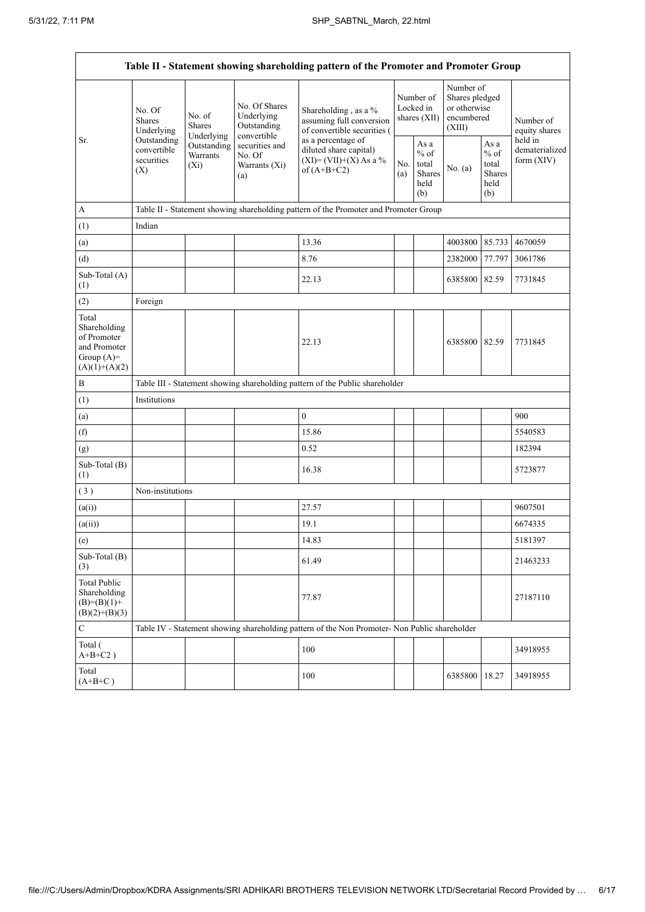$\mathbf{r}$ 

| Table II - Statement showing shareholding pattern of the Promoter and Promoter Group    |                                                                                                                         |                         |                                                           |                                                                                                          |  |                                                  |                                                                     |                                                  |                                           |
|-----------------------------------------------------------------------------------------|-------------------------------------------------------------------------------------------------------------------------|-------------------------|-----------------------------------------------------------|----------------------------------------------------------------------------------------------------------|--|--------------------------------------------------|---------------------------------------------------------------------|--------------------------------------------------|-------------------------------------------|
|                                                                                         | No. Of<br>No. of<br><b>Shares</b><br>Shares<br>Underlying<br>Outstanding<br>convertible<br>securities<br>$(X_i)$<br>(X) | Underlying              | No. Of Shares<br>Underlying<br>Outstanding<br>convertible | Shareholding, as a %<br>assuming full conversion<br>of convertible securities (                          |  | Number of<br>Locked in<br>shares (XII)           | Number of<br>Shares pledged<br>or otherwise<br>encumbered<br>(XIII) |                                                  | Number of<br>equity shares                |
| Sr.                                                                                     |                                                                                                                         | Outstanding<br>Warrants | securities and<br>No. Of<br>Warrants (Xi)<br>(a)          | as a percentage of<br>diluted share capital)<br>$(XI) = (VII)+(X) As a %$<br>No.<br>of $(A+B+C2)$<br>(a) |  | As a<br>$%$ of<br>total<br>Shares<br>held<br>(b) | No. (a)                                                             | As a<br>$%$ of<br>total<br>Shares<br>held<br>(b) | held in<br>dematerialized<br>form $(XIV)$ |
| $\boldsymbol{\mathsf{A}}$                                                               |                                                                                                                         |                         |                                                           | Table II - Statement showing shareholding pattern of the Promoter and Promoter Group                     |  |                                                  |                                                                     |                                                  |                                           |
| (1)                                                                                     | Indian                                                                                                                  |                         |                                                           |                                                                                                          |  |                                                  |                                                                     |                                                  |                                           |
| (a)                                                                                     |                                                                                                                         |                         |                                                           | 13.36                                                                                                    |  |                                                  | 4003800                                                             | 85.733                                           | 4670059                                   |
| (d)                                                                                     |                                                                                                                         |                         |                                                           | 8.76                                                                                                     |  |                                                  | 2382000                                                             | 77.797                                           | 3061786                                   |
| Sub-Total (A)<br>(1)                                                                    |                                                                                                                         |                         |                                                           | 22.13                                                                                                    |  |                                                  | 6385800                                                             | 82.59                                            | 7731845                                   |
| (2)                                                                                     | Foreign                                                                                                                 |                         |                                                           |                                                                                                          |  |                                                  |                                                                     |                                                  |                                           |
| Total<br>Shareholding<br>of Promoter<br>and Promoter<br>Group $(A)=$<br>$(A)(1)+(A)(2)$ |                                                                                                                         |                         |                                                           | 22.13                                                                                                    |  |                                                  | 6385800 82.59                                                       |                                                  | 7731845                                   |
| $\, {\bf B}$                                                                            |                                                                                                                         |                         |                                                           | Table III - Statement showing shareholding pattern of the Public shareholder                             |  |                                                  |                                                                     |                                                  |                                           |
| (1)                                                                                     | Institutions                                                                                                            |                         |                                                           |                                                                                                          |  |                                                  |                                                                     |                                                  |                                           |
| (a)                                                                                     |                                                                                                                         |                         |                                                           | $\mathbf{0}$                                                                                             |  |                                                  |                                                                     |                                                  | 900                                       |
| (f)                                                                                     |                                                                                                                         |                         |                                                           | 15.86                                                                                                    |  |                                                  |                                                                     |                                                  | 5540583                                   |
| (g)                                                                                     |                                                                                                                         |                         |                                                           | 0.52                                                                                                     |  |                                                  |                                                                     |                                                  | 182394                                    |
| Sub-Total (B)<br>(1)                                                                    |                                                                                                                         |                         |                                                           | 16.38                                                                                                    |  |                                                  |                                                                     |                                                  | 5723877                                   |
| (3)                                                                                     | Non-institutions                                                                                                        |                         |                                                           |                                                                                                          |  |                                                  |                                                                     |                                                  |                                           |
| (a(i))                                                                                  |                                                                                                                         |                         |                                                           | 27.57                                                                                                    |  |                                                  |                                                                     |                                                  | 9607501                                   |
| (a(ii))                                                                                 |                                                                                                                         |                         |                                                           | 19.1                                                                                                     |  |                                                  |                                                                     |                                                  | 6674335                                   |
| (e)                                                                                     |                                                                                                                         |                         |                                                           | 14.83                                                                                                    |  |                                                  |                                                                     |                                                  | 5181397                                   |
| Sub-Total (B)<br>(3)                                                                    |                                                                                                                         |                         |                                                           | 61.49                                                                                                    |  |                                                  |                                                                     |                                                  | 21463233                                  |
| Total Public<br>Shareholding<br>$(B)=(B)(1)+$<br>$(B)(2)+(B)(3)$                        |                                                                                                                         |                         |                                                           | 77.87                                                                                                    |  |                                                  |                                                                     |                                                  | 27187110                                  |
| ${\bf C}$                                                                               |                                                                                                                         |                         |                                                           | Table IV - Statement showing shareholding pattern of the Non Promoter- Non Public shareholder            |  |                                                  |                                                                     |                                                  |                                           |
| Total (<br>$A+B+C2$ )                                                                   |                                                                                                                         |                         |                                                           | 100                                                                                                      |  |                                                  |                                                                     |                                                  | 34918955                                  |
| Total<br>$(A+B+C)$                                                                      |                                                                                                                         |                         |                                                           | 100                                                                                                      |  |                                                  | 6385800                                                             | 18.27                                            | 34918955                                  |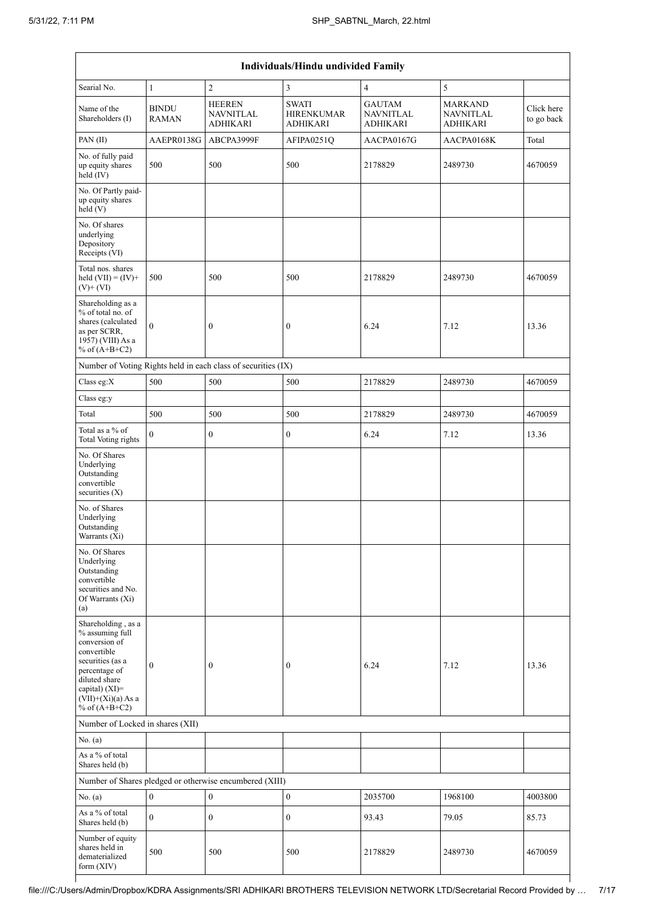| Individuals/Hindu undivided Family                                                                                                                                                       |                              |                                                               |                                                      |                                               |                                                       |                          |  |  |  |
|------------------------------------------------------------------------------------------------------------------------------------------------------------------------------------------|------------------------------|---------------------------------------------------------------|------------------------------------------------------|-----------------------------------------------|-------------------------------------------------------|--------------------------|--|--|--|
| Searial No.                                                                                                                                                                              | 1                            | $\mathfrak{2}$                                                | 3                                                    | 4                                             | 5                                                     |                          |  |  |  |
| Name of the<br>Shareholders (I)                                                                                                                                                          | <b>BINDU</b><br><b>RAMAN</b> | <b>HEEREN</b><br><b>NAVNITLAL</b><br><b>ADHIKARI</b>          | <b>SWATI</b><br><b>HIRENKUMAR</b><br><b>ADHIKARI</b> | <b>GAUTAM</b><br><b>NAVNITLAL</b><br>ADHIKARI | <b>MARKAND</b><br><b>NAVNITLAL</b><br><b>ADHIKARI</b> | Click here<br>to go back |  |  |  |
| PAN(II)                                                                                                                                                                                  | AAEPR0138G                   | ABCPA3999F                                                    | AFIPA0251Q                                           | AACPA0167G                                    | AACPA0168K                                            | Total                    |  |  |  |
| No. of fully paid<br>up equity shares<br>held (IV)                                                                                                                                       | 500                          | 500                                                           | 500                                                  | 2178829                                       | 2489730                                               | 4670059                  |  |  |  |
| No. Of Partly paid-<br>up equity shares<br>held (V)                                                                                                                                      |                              |                                                               |                                                      |                                               |                                                       |                          |  |  |  |
| No. Of shares<br>underlying<br>Depository<br>Receipts (VI)                                                                                                                               |                              |                                                               |                                                      |                                               |                                                       |                          |  |  |  |
| Total nos. shares<br>held $(VII) = (IV) +$<br>$(V)+(VI)$                                                                                                                                 | 500                          | 500                                                           | 500                                                  | 2178829                                       | 2489730                                               | 4670059                  |  |  |  |
| Shareholding as a<br>% of total no. of<br>shares (calculated<br>as per SCRR,<br>1957) (VIII) As a<br>% of $(A+B+C2)$                                                                     | $\mathbf{0}$                 | $\boldsymbol{0}$                                              | $\boldsymbol{0}$                                     | 6.24                                          | 7.12                                                  | 13.36                    |  |  |  |
|                                                                                                                                                                                          |                              | Number of Voting Rights held in each class of securities (IX) |                                                      |                                               |                                                       |                          |  |  |  |
| Class eg:X                                                                                                                                                                               | 500                          | 500                                                           | 500                                                  | 2178829                                       | 2489730                                               | 4670059                  |  |  |  |
| Class eg:y                                                                                                                                                                               |                              |                                                               |                                                      |                                               |                                                       |                          |  |  |  |
| Total                                                                                                                                                                                    | 500                          | 500                                                           | 500                                                  | 2178829                                       | 2489730                                               | 4670059                  |  |  |  |
| Total as a % of<br>Total Voting rights                                                                                                                                                   | $\overline{0}$               | $\boldsymbol{0}$                                              | $\boldsymbol{0}$                                     | 6.24                                          | 7.12                                                  | 13.36                    |  |  |  |
| No. Of Shares<br>Underlying<br>Outstanding<br>convertible<br>securities (X)                                                                                                              |                              |                                                               |                                                      |                                               |                                                       |                          |  |  |  |
| No. of Shares<br>Underlying<br>Outstanding<br>Warrants (Xi)                                                                                                                              |                              |                                                               |                                                      |                                               |                                                       |                          |  |  |  |
| No. Of Shares<br>Underlying<br>Outstanding<br>convertible<br>securities and No.<br>Of Warrants (Xi)<br>(a)                                                                               |                              |                                                               |                                                      |                                               |                                                       |                          |  |  |  |
| Shareholding, as a<br>% assuming full<br>conversion of<br>convertible<br>securities (as a<br>percentage of<br>diluted share<br>capital) (XI)=<br>$(VII)+(Xi)(a)$ As a<br>% of $(A+B+C2)$ | $\boldsymbol{0}$             | $\boldsymbol{0}$                                              | $\boldsymbol{0}$                                     | 6.24                                          | 7.12                                                  | 13.36                    |  |  |  |
| Number of Locked in shares (XII)                                                                                                                                                         |                              |                                                               |                                                      |                                               |                                                       |                          |  |  |  |
| No. (a)                                                                                                                                                                                  |                              |                                                               |                                                      |                                               |                                                       |                          |  |  |  |
| As a $\%$ of total<br>Shares held (b)                                                                                                                                                    |                              |                                                               |                                                      |                                               |                                                       |                          |  |  |  |
|                                                                                                                                                                                          |                              | Number of Shares pledged or otherwise encumbered (XIII)       |                                                      |                                               |                                                       |                          |  |  |  |
| No. $(a)$                                                                                                                                                                                | $\boldsymbol{0}$             | $\boldsymbol{0}$                                              | $\boldsymbol{0}$                                     | 2035700                                       | 1968100                                               | 4003800                  |  |  |  |
| As a % of total<br>Shares held (b)                                                                                                                                                       | $\overline{0}$               | $\boldsymbol{0}$                                              | $\boldsymbol{0}$                                     | 93.43                                         | 79.05                                                 | 85.73                    |  |  |  |
| Number of equity<br>shares held in<br>dematerialized<br>form (XIV)                                                                                                                       | 500                          | 500                                                           | 500                                                  | 2178829                                       | 2489730                                               | 4670059                  |  |  |  |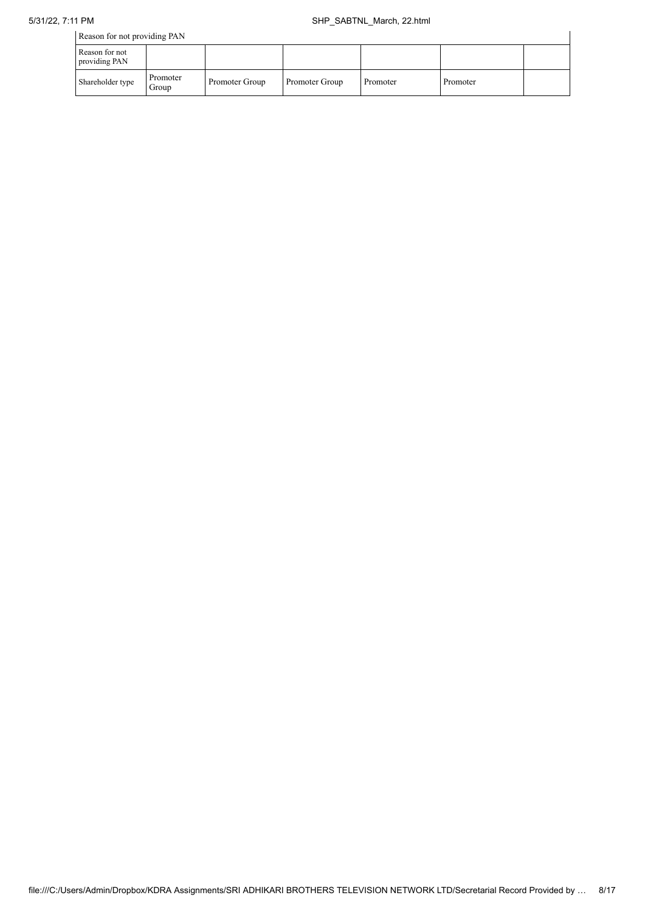| Reason for not providing PAN    |                   |                |                |          |          |  |  |
|---------------------------------|-------------------|----------------|----------------|----------|----------|--|--|
| Reason for not<br>providing PAN |                   |                |                |          |          |  |  |
| Shareholder type                | Promoter<br>Group | Promoter Group | Promoter Group | Promoter | Promoter |  |  |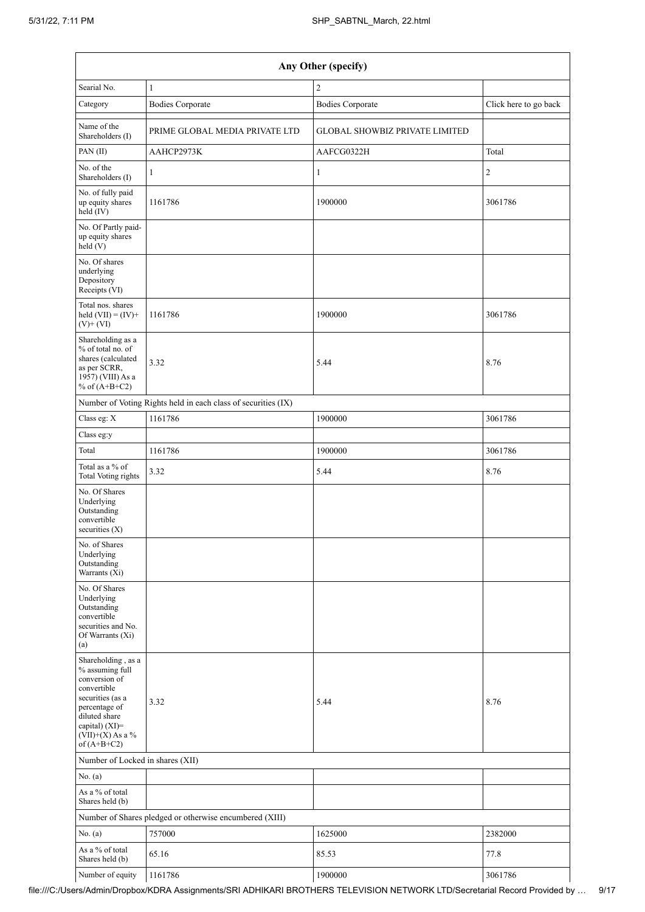| Any Other (specify)                                                                                                                                                                  |                                                               |                                       |                       |  |  |  |  |  |
|--------------------------------------------------------------------------------------------------------------------------------------------------------------------------------------|---------------------------------------------------------------|---------------------------------------|-----------------------|--|--|--|--|--|
| Searial No.                                                                                                                                                                          | $\mathbf{1}$                                                  | $\overline{2}$                        |                       |  |  |  |  |  |
| Category                                                                                                                                                                             | <b>Bodies Corporate</b>                                       | <b>Bodies Corporate</b>               | Click here to go back |  |  |  |  |  |
| Name of the<br>Shareholders (I)                                                                                                                                                      | PRIME GLOBAL MEDIA PRIVATE LTD                                | <b>GLOBAL SHOWBIZ PRIVATE LIMITED</b> |                       |  |  |  |  |  |
| PAN(II)                                                                                                                                                                              | AAHCP2973K                                                    | AAFCG0322H                            | Total                 |  |  |  |  |  |
| No. of the<br>Shareholders (I)                                                                                                                                                       | $\mathbf{1}$                                                  | $\mathbf{1}$                          | $\overline{c}$        |  |  |  |  |  |
| No. of fully paid<br>up equity shares<br>held (IV)                                                                                                                                   | 1161786                                                       | 1900000                               | 3061786               |  |  |  |  |  |
| No. Of Partly paid-<br>up equity shares<br>held (V)                                                                                                                                  |                                                               |                                       |                       |  |  |  |  |  |
| No. Of shares<br>underlying<br>Depository<br>Receipts (VI)                                                                                                                           |                                                               |                                       |                       |  |  |  |  |  |
| Total nos. shares<br>held $(VII) = (IV) +$<br>$(V)+(VI)$                                                                                                                             | 1161786                                                       | 1900000                               | 3061786               |  |  |  |  |  |
| Shareholding as a<br>% of total no. of<br>shares (calculated<br>as per SCRR,<br>1957) (VIII) As a<br>% of $(A+B+C2)$                                                                 | 3.32                                                          | 5.44                                  | 8.76                  |  |  |  |  |  |
|                                                                                                                                                                                      | Number of Voting Rights held in each class of securities (IX) |                                       |                       |  |  |  |  |  |
| Class eg: X                                                                                                                                                                          | 1161786                                                       | 1900000                               | 3061786               |  |  |  |  |  |
| Class eg:y                                                                                                                                                                           |                                                               |                                       |                       |  |  |  |  |  |
| Total                                                                                                                                                                                | 1161786                                                       | 1900000                               | 3061786               |  |  |  |  |  |
| Total as a % of<br>Total Voting rights                                                                                                                                               | 3.32                                                          | 5.44                                  | 8.76                  |  |  |  |  |  |
| No. Of Shares<br>Underlying<br>Outstanding<br>convertible<br>securities $(X)$                                                                                                        |                                                               |                                       |                       |  |  |  |  |  |
| No. of Shares<br>Underlying<br>Outstanding<br>Warrants (Xi)                                                                                                                          |                                                               |                                       |                       |  |  |  |  |  |
| No. Of Shares<br>Underlying<br>Outstanding<br>convertible<br>securities and No.<br>Of Warrants (Xi)<br>(a)                                                                           |                                                               |                                       |                       |  |  |  |  |  |
| Shareholding, as a<br>% assuming full<br>conversion of<br>convertible<br>securities (as a<br>percentage of<br>diluted share<br>capital) (XI)=<br>$(VII)+(X)$ As a %<br>of $(A+B+C2)$ | 3.32                                                          | 5.44                                  | 8.76                  |  |  |  |  |  |
| Number of Locked in shares (XII)                                                                                                                                                     |                                                               |                                       |                       |  |  |  |  |  |
| No. (a)                                                                                                                                                                              |                                                               |                                       |                       |  |  |  |  |  |
| As a % of total<br>Shares held (b)                                                                                                                                                   |                                                               |                                       |                       |  |  |  |  |  |
|                                                                                                                                                                                      | Number of Shares pledged or otherwise encumbered (XIII)       |                                       |                       |  |  |  |  |  |
| No. (a)                                                                                                                                                                              | 757000                                                        | 1625000                               | 2382000               |  |  |  |  |  |
| As a % of total<br>Shares held (b)                                                                                                                                                   | 65.16                                                         | 85.53                                 | 77.8                  |  |  |  |  |  |
| Number of equity                                                                                                                                                                     | 1161786                                                       | 1900000                               | 3061786               |  |  |  |  |  |

file:///C:/Users/Admin/Dropbox/KDRA Assignments/SRI ADHIKARI BROTHERS TELEVISION NETWORK LTD/Secretarial Record Provided by … 9/17

 $\mathbf{I}$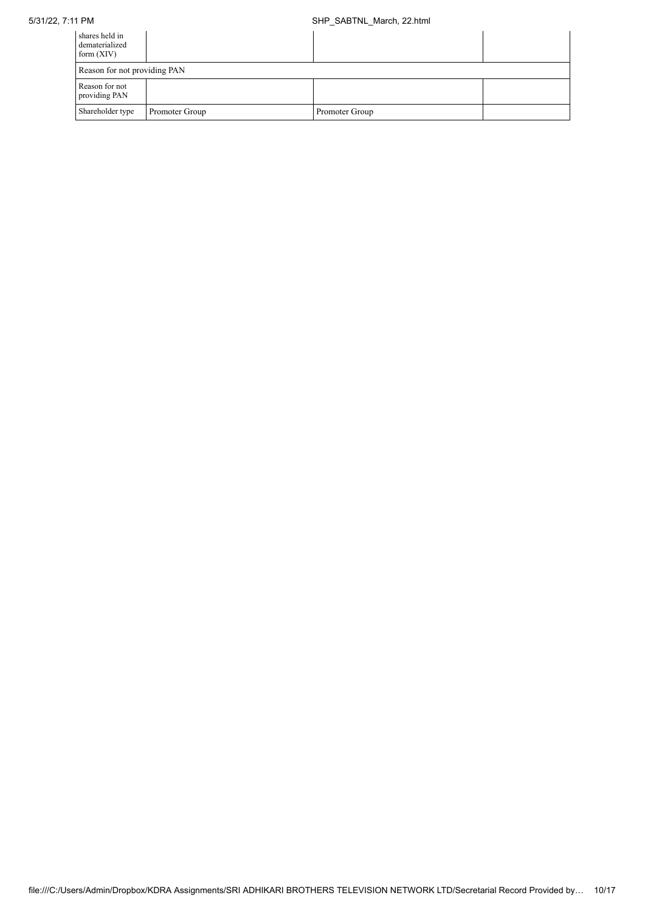## 5/31/22, 7:11 PM SHP\_SABTNL\_March, 22.html

| shares held in<br>dematerialized<br>form $(XIV)$ |                |                |  |  |  |  |  |
|--------------------------------------------------|----------------|----------------|--|--|--|--|--|
| Reason for not providing PAN                     |                |                |  |  |  |  |  |
| Reason for not<br>providing PAN                  |                |                |  |  |  |  |  |
| Shareholder type                                 | Promoter Group | Promoter Group |  |  |  |  |  |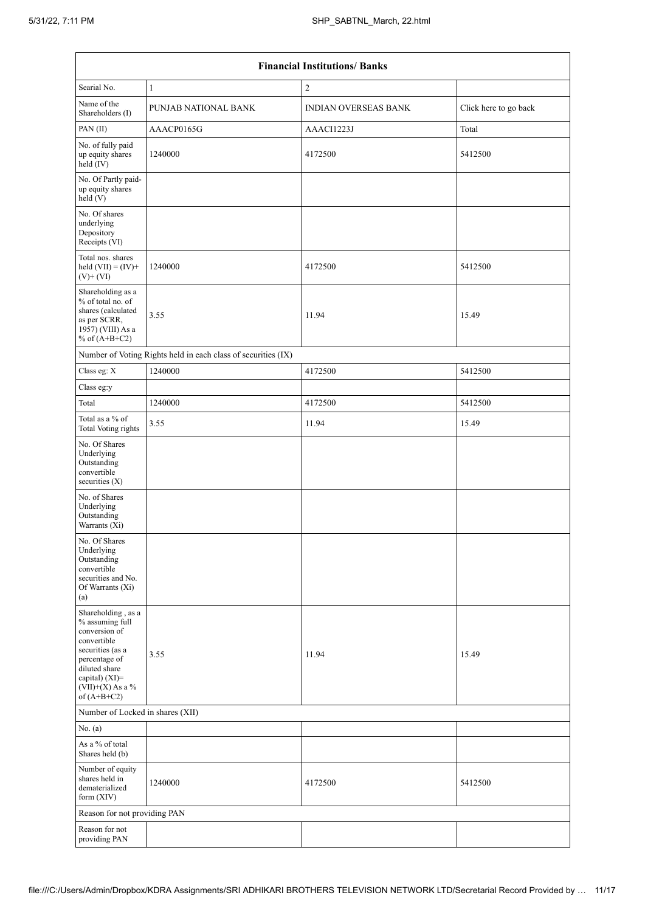| <b>Financial Institutions/ Banks</b>                                                                                                                                                 |                                                               |                             |                       |  |  |  |  |  |  |
|--------------------------------------------------------------------------------------------------------------------------------------------------------------------------------------|---------------------------------------------------------------|-----------------------------|-----------------------|--|--|--|--|--|--|
| Searial No.                                                                                                                                                                          | $\mathbf{1}$                                                  | $\overline{2}$              |                       |  |  |  |  |  |  |
| Name of the<br>Shareholders (I)                                                                                                                                                      | PUNJAB NATIONAL BANK                                          | <b>INDIAN OVERSEAS BANK</b> | Click here to go back |  |  |  |  |  |  |
| PAN(II)                                                                                                                                                                              | AAACP0165G                                                    | AAACI1223J                  | Total                 |  |  |  |  |  |  |
| No. of fully paid<br>up equity shares<br>held (IV)                                                                                                                                   | 1240000                                                       | 4172500                     | 5412500               |  |  |  |  |  |  |
| No. Of Partly paid-<br>up equity shares<br>held (V)                                                                                                                                  |                                                               |                             |                       |  |  |  |  |  |  |
| No. Of shares<br>underlying<br>Depository<br>Receipts (VI)                                                                                                                           |                                                               |                             |                       |  |  |  |  |  |  |
| Total nos. shares<br>held $(VII) = (IV) +$<br>$(V)+(VI)$                                                                                                                             | 1240000                                                       | 4172500                     | 5412500               |  |  |  |  |  |  |
| Shareholding as a<br>% of total no. of<br>shares (calculated<br>as per SCRR,<br>1957) (VIII) As a<br>% of $(A+B+C2)$                                                                 | 3.55                                                          | 11.94                       | 15.49                 |  |  |  |  |  |  |
|                                                                                                                                                                                      | Number of Voting Rights held in each class of securities (IX) |                             |                       |  |  |  |  |  |  |
| Class eg: X                                                                                                                                                                          | 1240000                                                       | 4172500                     | 5412500               |  |  |  |  |  |  |
| Class eg:y                                                                                                                                                                           |                                                               |                             |                       |  |  |  |  |  |  |
| Total                                                                                                                                                                                | 1240000                                                       | 4172500                     | 5412500               |  |  |  |  |  |  |
| Total as a % of<br><b>Total Voting rights</b>                                                                                                                                        | 3.55                                                          | 11.94                       | 15.49                 |  |  |  |  |  |  |
| No. Of Shares<br>Underlying<br>Outstanding<br>convertible<br>securities $(X)$                                                                                                        |                                                               |                             |                       |  |  |  |  |  |  |
| No. of Shares<br>Underlying<br>Outstanding<br>Warrants (Xi)                                                                                                                          |                                                               |                             |                       |  |  |  |  |  |  |
| No. Of Shares<br>Underlying<br>Outstanding<br>convertible<br>securities and No.<br>Of Warrants (Xi)<br>(a)                                                                           |                                                               |                             |                       |  |  |  |  |  |  |
| Shareholding, as a<br>% assuming full<br>conversion of<br>convertible<br>securities (as a<br>percentage of<br>diluted share<br>capital) (XI)=<br>$(VII)+(X)$ As a %<br>of $(A+B+C2)$ | 3.55                                                          | 11.94                       | 15.49                 |  |  |  |  |  |  |
| Number of Locked in shares (XII)                                                                                                                                                     |                                                               |                             |                       |  |  |  |  |  |  |
| No. (a)                                                                                                                                                                              |                                                               |                             |                       |  |  |  |  |  |  |
| As a % of total<br>Shares held (b)                                                                                                                                                   |                                                               |                             |                       |  |  |  |  |  |  |
| Number of equity<br>shares held in<br>dematerialized<br>form $(XIV)$                                                                                                                 | 1240000                                                       | 4172500                     | 5412500               |  |  |  |  |  |  |
| Reason for not providing PAN                                                                                                                                                         |                                                               |                             |                       |  |  |  |  |  |  |
| Reason for not<br>providing PAN                                                                                                                                                      |                                                               |                             |                       |  |  |  |  |  |  |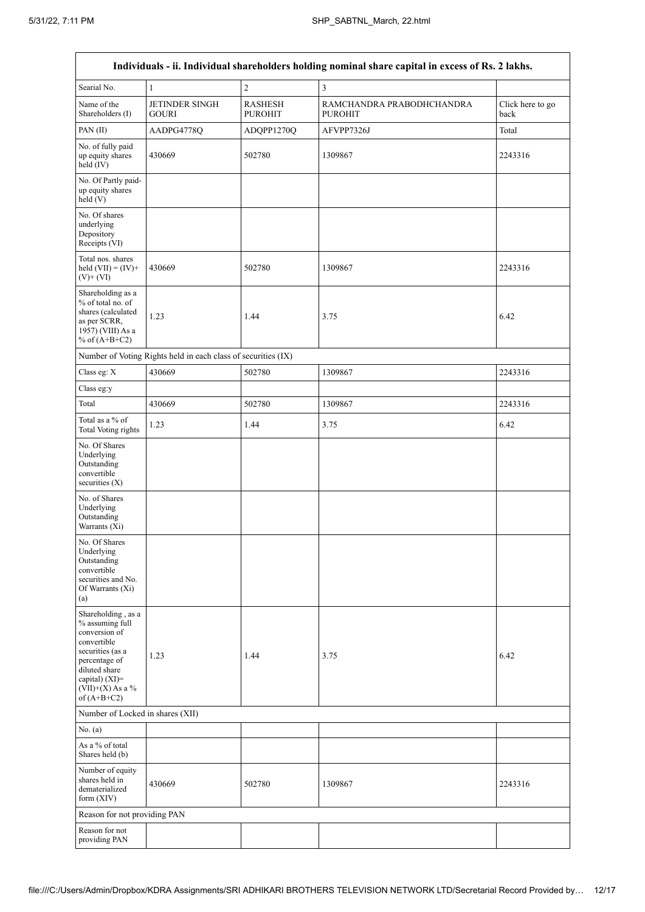$\overline{\phantom{a}}$ 

| Individuals - ii. Individual shareholders holding nominal share capital in excess of Rs. 2 lakhs.                                                                                    |                                                               |                                  |                                             |                          |  |  |  |  |  |
|--------------------------------------------------------------------------------------------------------------------------------------------------------------------------------------|---------------------------------------------------------------|----------------------------------|---------------------------------------------|--------------------------|--|--|--|--|--|
| Searial No.                                                                                                                                                                          | $\mathbf{1}$                                                  | $\sqrt{2}$                       | 3                                           |                          |  |  |  |  |  |
| Name of the<br>Shareholders (I)                                                                                                                                                      | <b>JETINDER SINGH</b><br><b>GOURI</b>                         | <b>RASHESH</b><br><b>PUROHIT</b> | RAMCHANDRA PRABODHCHANDRA<br><b>PUROHIT</b> | Click here to go<br>back |  |  |  |  |  |
| PAN (II)                                                                                                                                                                             | AADPG4778Q                                                    | ADQPP1270Q                       | AFVPP7326J                                  | Total                    |  |  |  |  |  |
| No. of fully paid<br>up equity shares<br>held (IV)                                                                                                                                   | 430669                                                        | 502780                           | 1309867                                     | 2243316                  |  |  |  |  |  |
| No. Of Partly paid-<br>up equity shares<br>held (V)                                                                                                                                  |                                                               |                                  |                                             |                          |  |  |  |  |  |
| No. Of shares<br>underlying<br>Depository<br>Receipts (VI)                                                                                                                           |                                                               |                                  |                                             |                          |  |  |  |  |  |
| Total nos. shares<br>held $(VII) = (IV) +$<br>$(V)$ + $(VI)$                                                                                                                         | 430669                                                        | 502780                           | 1309867                                     | 2243316                  |  |  |  |  |  |
| Shareholding as a<br>% of total no. of<br>shares (calculated<br>as per SCRR,<br>1957) (VIII) As a<br>% of $(A+B+C2)$                                                                 | 1.23                                                          | 1.44                             | 3.75                                        | 6.42                     |  |  |  |  |  |
|                                                                                                                                                                                      | Number of Voting Rights held in each class of securities (IX) |                                  |                                             |                          |  |  |  |  |  |
| Class eg: X                                                                                                                                                                          | 430669                                                        | 502780                           | 1309867                                     | 2243316                  |  |  |  |  |  |
| Class eg:y                                                                                                                                                                           |                                                               |                                  |                                             |                          |  |  |  |  |  |
| Total                                                                                                                                                                                | 430669                                                        | 502780                           | 1309867                                     | 2243316                  |  |  |  |  |  |
| Total as a % of<br><b>Total Voting rights</b>                                                                                                                                        | 1.23                                                          | 1.44                             | 3.75                                        | 6.42                     |  |  |  |  |  |
| No. Of Shares<br>Underlying<br>Outstanding<br>convertible<br>securities (X)                                                                                                          |                                                               |                                  |                                             |                          |  |  |  |  |  |
| No. of Shares<br>Underlying<br>Outstanding<br>Warrants (Xi)                                                                                                                          |                                                               |                                  |                                             |                          |  |  |  |  |  |
| No. Of Shares<br>Underlying<br>Outstanding<br>convertible<br>securities and No.<br>Of Warrants (Xi)<br>(a)                                                                           |                                                               |                                  |                                             |                          |  |  |  |  |  |
| Shareholding, as a<br>% assuming full<br>conversion of<br>convertible<br>securities (as a<br>percentage of<br>diluted share<br>capital) (XI)=<br>$(VII)+(X)$ As a %<br>of $(A+B+C2)$ | 1.23                                                          | 1.44                             | 3.75                                        | 6.42                     |  |  |  |  |  |
| Number of Locked in shares (XII)                                                                                                                                                     |                                                               |                                  |                                             |                          |  |  |  |  |  |
| No. (a)                                                                                                                                                                              |                                                               |                                  |                                             |                          |  |  |  |  |  |
| As a % of total<br>Shares held (b)                                                                                                                                                   |                                                               |                                  |                                             |                          |  |  |  |  |  |
| Number of equity<br>shares held in<br>dematerialized<br>form (XIV)                                                                                                                   | 430669                                                        | 502780                           | 1309867                                     | 2243316                  |  |  |  |  |  |
| Reason for not providing PAN                                                                                                                                                         |                                                               |                                  |                                             |                          |  |  |  |  |  |
| Reason for not<br>providing PAN                                                                                                                                                      |                                                               |                                  |                                             |                          |  |  |  |  |  |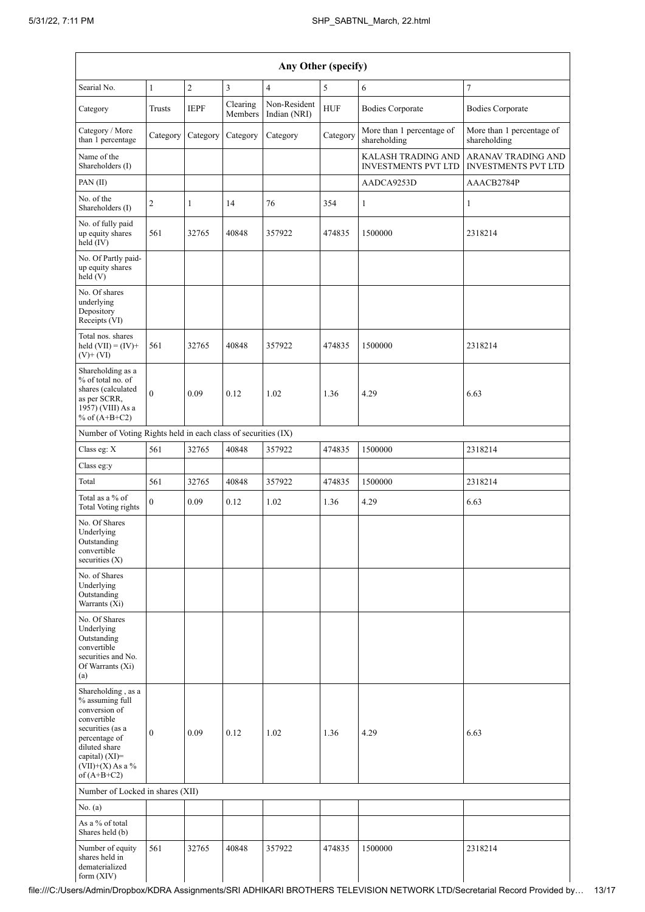| Any Other (specify)                                                                                                                                                                  |                  |                |                     |                              |            |                                                         |                                                         |
|--------------------------------------------------------------------------------------------------------------------------------------------------------------------------------------|------------------|----------------|---------------------|------------------------------|------------|---------------------------------------------------------|---------------------------------------------------------|
| Searial No.                                                                                                                                                                          | $\mathbf{1}$     | $\overline{c}$ | 3                   | $\overline{4}$               | 5          | 6                                                       | $\overline{7}$                                          |
| Category                                                                                                                                                                             | Trusts           | <b>IEPF</b>    | Clearing<br>Members | Non-Resident<br>Indian (NRI) | <b>HUF</b> | <b>Bodies Corporate</b>                                 | <b>Bodies Corporate</b>                                 |
| Category / More<br>than 1 percentage                                                                                                                                                 | Category         | Category       | Category            | Category                     | Category   | More than 1 percentage of<br>shareholding               | More than 1 percentage of<br>shareholding               |
| Name of the<br>Shareholders (I)                                                                                                                                                      |                  |                |                     |                              |            | <b>KALASH TRADING AND</b><br><b>INVESTMENTS PVT LTD</b> | <b>ARANAV TRADING AND</b><br><b>INVESTMENTS PVT LTD</b> |
| PAN(II)                                                                                                                                                                              |                  |                |                     |                              |            | AADCA9253D                                              | AAACB2784P                                              |
| No. of the<br>Shareholders (I)                                                                                                                                                       | $\overline{c}$   | 1              | 14                  | 76                           | 354        | 1                                                       | 1                                                       |
| No. of fully paid<br>up equity shares<br>held (IV)                                                                                                                                   | 561              | 32765          | 40848               | 357922                       | 474835     | 1500000                                                 | 2318214                                                 |
| No. Of Partly paid-<br>up equity shares<br>held (V)                                                                                                                                  |                  |                |                     |                              |            |                                                         |                                                         |
| No. Of shares<br>underlying<br>Depository<br>Receipts (VI)                                                                                                                           |                  |                |                     |                              |            |                                                         |                                                         |
| Total nos. shares<br>held $(VII) = (IV) +$<br>$(V)$ + $(VI)$                                                                                                                         | 561              | 32765          | 40848               | 357922                       | 474835     | 1500000                                                 | 2318214                                                 |
| Shareholding as a<br>% of total no. of<br>shares (calculated<br>as per SCRR,<br>1957) (VIII) As a<br>% of $(A+B+C2)$                                                                 | $\theta$         | 0.09           | 0.12                | 1.02                         | 1.36       | 4.29                                                    | 6.63                                                    |
| Number of Voting Rights held in each class of securities (IX)                                                                                                                        |                  |                |                     |                              |            |                                                         |                                                         |
| Class eg: X                                                                                                                                                                          | 561              | 32765          | 40848               | 357922                       | 474835     | 1500000                                                 | 2318214                                                 |
| Class eg:y                                                                                                                                                                           |                  |                |                     |                              |            |                                                         |                                                         |
| Total                                                                                                                                                                                | 561              | 32765          | 40848               | 357922                       | 474835     | 1500000                                                 | 2318214                                                 |
| Total as a % of<br><b>Total Voting rights</b>                                                                                                                                        | $\mathbf{0}$     | 0.09           | 0.12                | 1.02                         | 1.36       | 4.29                                                    | 6.63                                                    |
| No. Of Shares<br>Underlying<br>Outstanding<br>convertible<br>securities (X)                                                                                                          |                  |                |                     |                              |            |                                                         |                                                         |
| No. of Shares<br>Underlying<br>Outstanding<br>Warrants (Xi)                                                                                                                          |                  |                |                     |                              |            |                                                         |                                                         |
| No. Of Shares<br>Underlying<br>Outstanding<br>convertible<br>securities and No.<br>Of Warrants (Xi)<br>(a)                                                                           |                  |                |                     |                              |            |                                                         |                                                         |
| Shareholding, as a<br>% assuming full<br>conversion of<br>convertible<br>securities (as a<br>percentage of<br>diluted share<br>capital) (XI)=<br>$(VII)+(X)$ As a %<br>of $(A+B+C2)$ | $\boldsymbol{0}$ | 0.09           | 0.12                | 1.02                         | 1.36       | 4.29                                                    | 6.63                                                    |
| Number of Locked in shares (XII)                                                                                                                                                     |                  |                |                     |                              |            |                                                         |                                                         |
| No. (a)                                                                                                                                                                              |                  |                |                     |                              |            |                                                         |                                                         |
| As a % of total<br>Shares held (b)                                                                                                                                                   |                  |                |                     |                              |            |                                                         |                                                         |
| Number of equity<br>shares held in<br>dematerialized<br>form (XIV)                                                                                                                   | 561              | 32765          | 40848               | 357922                       | 474835     | 1500000                                                 | 2318214                                                 |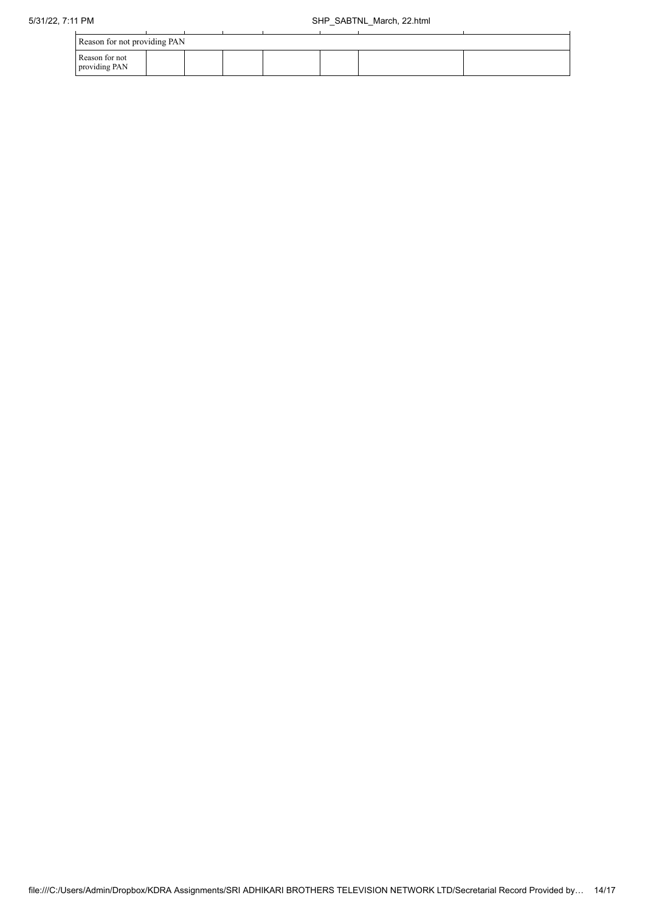| Reason for not providing PAN    |  |  |  |  |  |  |  |
|---------------------------------|--|--|--|--|--|--|--|
| Reason for not<br>providing PAN |  |  |  |  |  |  |  |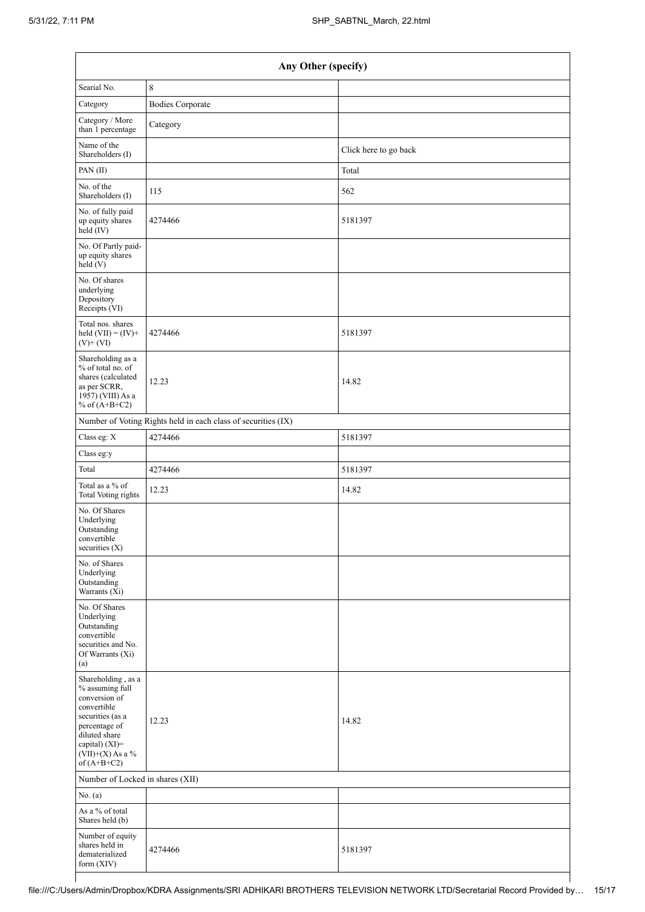|                                                                                                                                                                                      | Any Other (specify)                                           |                       |  |  |  |  |
|--------------------------------------------------------------------------------------------------------------------------------------------------------------------------------------|---------------------------------------------------------------|-----------------------|--|--|--|--|
| Searial No.                                                                                                                                                                          | 8                                                             |                       |  |  |  |  |
| Category                                                                                                                                                                             | <b>Bodies Corporate</b>                                       |                       |  |  |  |  |
| Category / More<br>than 1 percentage                                                                                                                                                 | Category                                                      |                       |  |  |  |  |
| Name of the<br>Shareholders (I)                                                                                                                                                      |                                                               | Click here to go back |  |  |  |  |
| PAN(II)                                                                                                                                                                              |                                                               | Total                 |  |  |  |  |
| No. of the<br>Shareholders (I)                                                                                                                                                       | 115                                                           | 562                   |  |  |  |  |
| No. of fully paid<br>up equity shares<br>held (IV)                                                                                                                                   | 4274466                                                       | 5181397               |  |  |  |  |
| No. Of Partly paid-<br>up equity shares<br>$\text{held} (V)$                                                                                                                         |                                                               |                       |  |  |  |  |
| No. Of shares<br>underlying<br>Depository<br>Receipts (VI)                                                                                                                           |                                                               |                       |  |  |  |  |
| Total nos. shares<br>held $(VII) = (IV) +$<br>$(V)$ + $(VI)$                                                                                                                         | 4274466                                                       | 5181397               |  |  |  |  |
| Shareholding as a<br>% of total no. of<br>shares (calculated<br>as per SCRR,<br>1957) (VIII) As a<br>% of $(A+B+C2)$                                                                 | 12.23                                                         | 14.82                 |  |  |  |  |
|                                                                                                                                                                                      | Number of Voting Rights held in each class of securities (IX) |                       |  |  |  |  |
| Class eg: X                                                                                                                                                                          | 4274466                                                       | 5181397               |  |  |  |  |
| Class eg:y                                                                                                                                                                           |                                                               |                       |  |  |  |  |
| Total                                                                                                                                                                                | 4274466                                                       | 5181397               |  |  |  |  |
| Total as a % of<br><b>Total Voting rights</b>                                                                                                                                        | 12.23                                                         | 14.82                 |  |  |  |  |
| No. Of Shares<br>Underlying<br>Outstanding<br>convertible<br>securities (X)                                                                                                          |                                                               |                       |  |  |  |  |
| No. of Shares<br>Underlying<br>Outstanding<br>Warrants (Xi)                                                                                                                          |                                                               |                       |  |  |  |  |
| No. Of Shares<br>Underlying<br>Outstanding<br>convertible<br>securities and No.<br>Of Warrants (Xi)<br>(a)                                                                           |                                                               |                       |  |  |  |  |
| Shareholding, as a<br>% assuming full<br>conversion of<br>convertible<br>securities (as a<br>percentage of<br>diluted share<br>capital) (XI)=<br>$(VII)+(X)$ As a %<br>of $(A+B+C2)$ | 12.23                                                         | 14.82                 |  |  |  |  |
| Number of Locked in shares (XII)                                                                                                                                                     |                                                               |                       |  |  |  |  |
| No. (a)                                                                                                                                                                              |                                                               |                       |  |  |  |  |
| As a % of total<br>Shares held (b)                                                                                                                                                   |                                                               |                       |  |  |  |  |
| Number of equity<br>shares held in<br>dematerialized<br>form (XIV)                                                                                                                   | 4274466                                                       | 5181397               |  |  |  |  |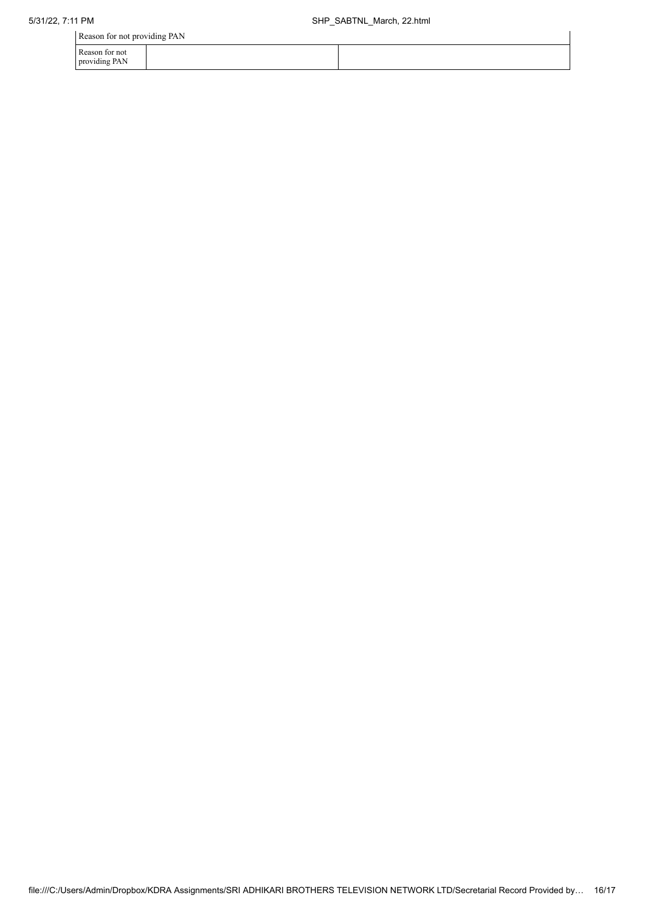Reason for not providing PAN

| Reason for not providing PAIN   |  |
|---------------------------------|--|
| Reason for not<br>providing PAN |  |